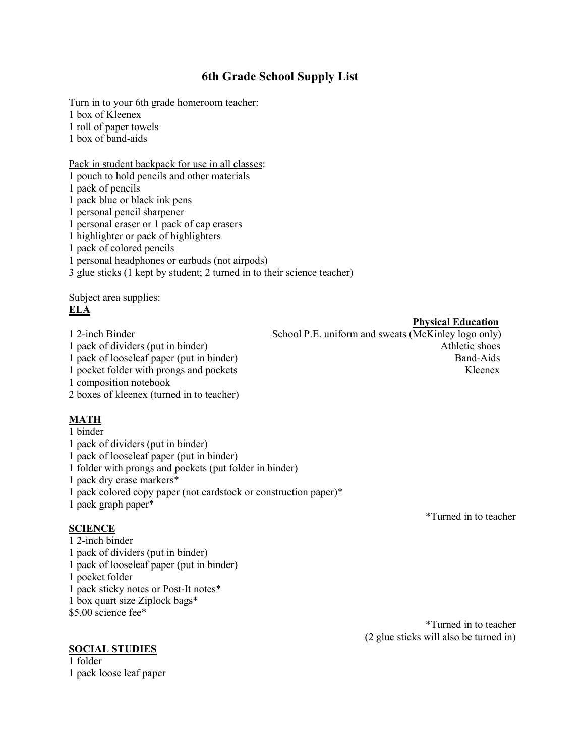## **6th Grade School Supply List**

Turn in to your 6th grade homeroom teacher:

1 box of Kleenex

1 roll of paper towels

1 box of band-aids

Pack in student backpack for use in all classes:

1 pouch to hold pencils and other materials

1 pack of pencils

1 pack blue or black ink pens

1 personal pencil sharpener

1 personal eraser or 1 pack of cap erasers

1 highlighter or pack of highlighters

1 pack of colored pencils

1 personal headphones orearbuds (not airpods)

3 glue sticks (1 kept by student; 2 turned in to their science teacher)

Subject area supplies: **ELA**

1 composition notebook

#### 2 boxes of kleenex (turned in to teacher)

#### **MATH**

1 binder 1 pack of dividers (put in binder)

1 pack of looseleaf paper (put in binder)

1 folder with prongs and pockets (put folder in binder)

1 pack dry erase markers\*

1 pack colored copy paper (not cardstock or construction paper)\*

1 pack graph paper\*

#### **SCIENCE**

 2-inch binder pack of dividers (put in binder) pack of looseleaf paper (put in binder) pocket folder 1 pack sticky notes or Post-It notes\* box quart size Ziplock bags\* \$5.00 science fee\*

#### **SOCIAL STUDIES**

1 folder 1 pack loose leaf paper \*Turned in to teacher

\*Turned in to teacher (2 glue sticks will also be turned in)

**Physical Education**

1 2-inch Binder School P.E. uniform and sweats (McKinley logo only) 1 pack of dividers (put in binder) Athletic shoes 1 pack of looseleaf paper (put in binder) Band-Aids 1 pocket folder with prongs and pockets Kleenex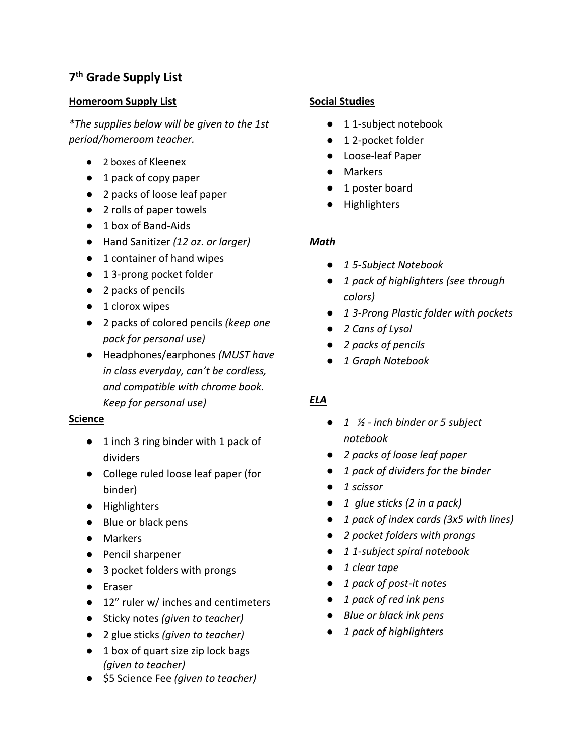# **7 th Grade Supply List**

### **Homeroom Supply List**

*\*The supplies below will be given to the 1st period/homeroom teacher.*

- 2 boxes of Kleenex
- 1 pack of copy paper
- 2 packs of loose leaf paper
- 2 rolls of paper towels
- 1 box of Band-Aids
- Hand Sanitizer *(12 oz. or larger)*
- 1 container of hand wipes
- 1 3-prong pocket folder
- 2 packs of pencils
- 1 clorox wipes
- 2 packs of colored pencils *(keep one pack for personal use)*
- Headphones/earphones *(MUST have in class everyday, can't be cordless, and compatible with chrome book. Keep for personal use)*

#### **Science**

- 1 inch 3 ring binder with 1 pack of dividers
- College ruled loose leaf paper (for binder)
- Highlighters
- Blue or black pens
- Markers
- Pencil sharpener
- 3 pocket folders with prongs
- Eraser
- 12" ruler w/ inches and centimeters
- Sticky notes *(given to teacher)*
- 2 glue sticks *(given to teacher)*
- 1 box of quart size zip lock bags *(given to teacher)*
- \$5 Science Fee *(given to teacher)*

#### **Social Studies**

- 1 1-subject notebook
- 12-pocket folder
- Loose-leaf Paper
- Markers
- 1 poster board
- Highlighters

#### *Math*

- *1 5-Subject Notebook*
- *1 pack of highlighters (see through colors)*
- *1 3-Prong Plastic folder with pockets*
- *2 Cansof Lysol*
- *2 packs of pencils*
- *1 Graph Notebook*

### *ELA*

- *1 ½ - inch binder or 5 subject notebook*
- *2 packs of loose leaf paper*
- *1 pack of dividers for the binder*
- *1 scissor*
- *1 glue sticks (2 in a pack)*
- *1 pack of index cards (3x5 with lines)*
- *2 pocket folders with prongs*
- *1 1-subject spiral notebook*
- *1 clear tape*
- *1 pack of post-it notes*
- *1 pack of red ink pens*
- *Blue or black ink pens*
- *1pack of highlighters*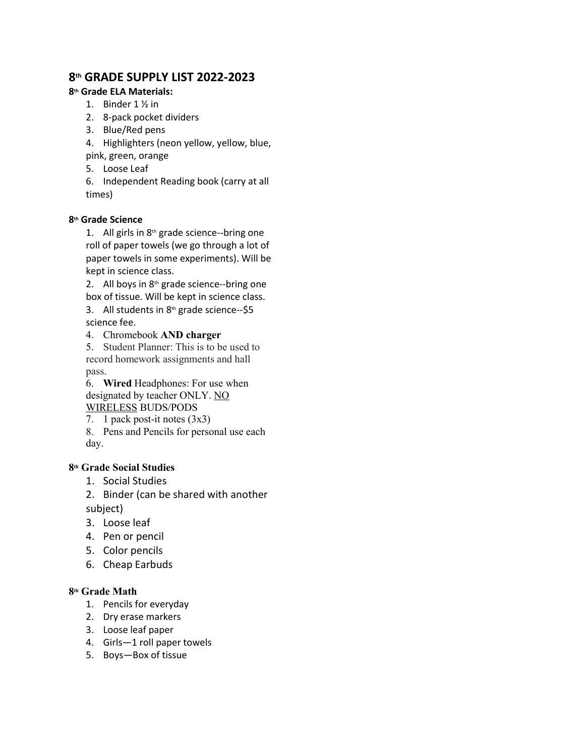## **8 th GRADE SUPPLY LIST 2022-2023**

#### **8 th Grade ELA Materials:**

- 1. Binder 1 ½ in
- 2. 8-pack pocket dividers
- 3. Blue/Red pens
- 4. Highlighters (neon yellow, yellow, blue,
- pink, green, orange
- 5. Loose Leaf

6. Independent Reading book (carry at all times)

#### **8 th Grade Science**

1. All girls in  $8<sup>th</sup>$  grade science--bring one roll of paper towels (we go through a lot of paper towels in some experiments). Will be kept in science class.

2. All boys in 8<sup>th</sup> grade science--bring one box of tissue. Will be kept in science class.

3. All students in 8<sup>th</sup> grade science--\$5 science fee.

4. Chromebook **AND charger**

5. Student Planner: This is to be used to record homework assignments and hall pass.

6. **Wired** Headphones: For use when designated by teacher ONLY. NO WIRELESS BUDS/PODS

7. 1 pack post-it notes (3x3)

8. Pens and Pencils for personal use each day.

#### **8th Grade Social Studies**

- 1. Social Studies
- 2. Binder (can be shared with another

subject)

- 3. Loose leaf
- 4. Pen or pencil
- 5. Color pencils
- 6. Cheap Earbuds

#### **8 th Grade Math**

- 1. Pencils for everyday
- 2. Dry erase markers
- 3. Loose leaf paper
- 4. Girls—1 roll paper towels
- 5. Boys—Box of tissue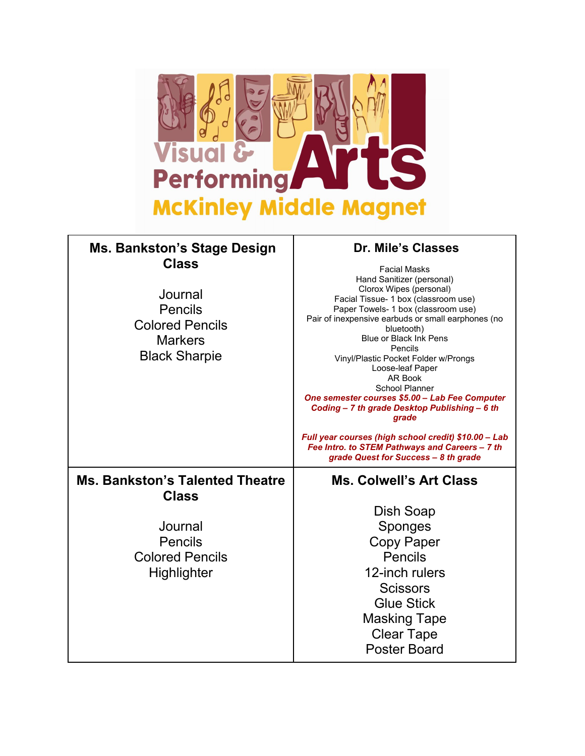

# **Ms. Bankston's Stage Design Class**

Pencils Colored Pencils **Markers** 

## **Dr. Mile's Classes**

**Journal** Black Sharpie Facial Masks Hand Sanitizer(personal) Clorox Wipes (personal) Facial Tissue- 1 box (classroom use) Paper Towels- 1 box (classroom use) Pair of inexpensive earbuds or small earphones (no bluetooth) Blue or Black Ink Pens Pencils Vinyl/Plastic Pocket Folder w/Prongs Loose-leaf Paper AR Book School Planner *One semester courses \$5.00 – Lab Fee Computer Coding – 7 th grade Desktop Publishing – 6 th grade Full year courses (high school credit) \$10.00 – Lab Fee Intro. to STEM Pathways and Careers – 7 th grade Quest for Success – 8 th grade* **Ms. Bankston's Talented Theatre Class Journal** Pencils Colored Pencils **Highlighter Ms. Colwell's Art Class** Dish Soap Sponges Copy Paper Pencils 12-inch rulers **Scissors** Glue Stick Masking Tape Clear Tape Poster Board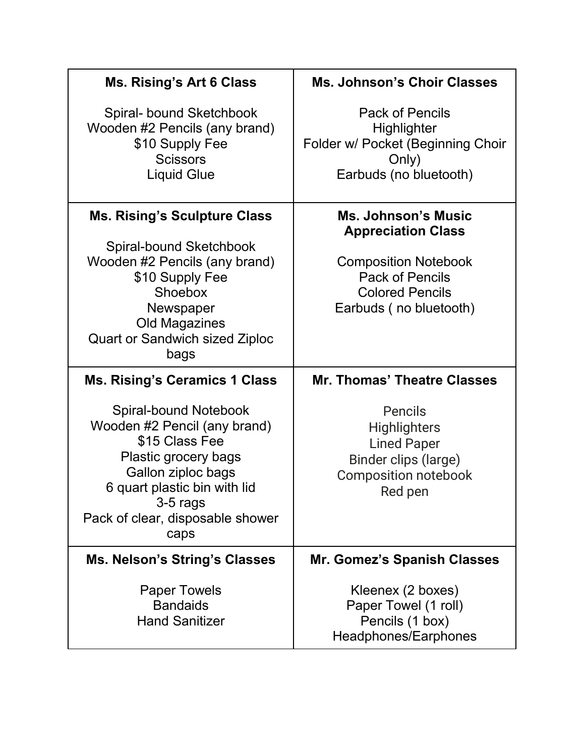| <b>Ms. Rising's Art 6 Class</b>                                                                                                                                                                               | <b>Ms. Johnson's Choir Classes</b>                                                                                     |
|---------------------------------------------------------------------------------------------------------------------------------------------------------------------------------------------------------------|------------------------------------------------------------------------------------------------------------------------|
| Spiral- bound Sketchbook<br>Wooden #2 Pencils (any brand)<br>\$10 Supply Fee<br><b>Scissors</b><br><b>Liquid Glue</b>                                                                                         | <b>Pack of Pencils</b><br>Highlighter<br>Folder w/ Pocket (Beginning Choir<br>Only)<br>Earbuds (no bluetooth)          |
| <b>Ms. Rising's Sculpture Class</b>                                                                                                                                                                           | <b>Ms. Johnson's Music</b><br><b>Appreciation Class</b>                                                                |
| Spiral-bound Sketchbook<br>Wooden #2 Pencils (any brand)<br>\$10 Supply Fee<br>Shoebox<br>Newspaper<br>Old Magazines<br><b>Quart or Sandwich sized Ziploc</b><br>bags                                         | <b>Composition Notebook</b><br><b>Pack of Pencils</b><br><b>Colored Pencils</b><br>Earbuds (no bluetooth)              |
| <b>Ms. Rising's Ceramics 1 Class</b>                                                                                                                                                                          | <b>Mr. Thomas' Theatre Classes</b>                                                                                     |
| Spiral-bound Notebook<br>Wooden #2 Pencil (any brand)<br>\$15 Class Fee<br>Plastic grocery bags<br>Gallon ziploc bags<br>6 quart plastic bin with lid<br>3-5 rags<br>Pack of clear, disposable shower<br>caps | <b>Pencils</b><br><b>Highlighters</b><br><b>Lined Paper</b><br>Binder clips (large)<br>Composition notebook<br>Red pen |
| <b>Ms. Nelson's String's Classes</b>                                                                                                                                                                          | Mr. Gomez's Spanish Classes                                                                                            |
| <b>Paper Towels</b><br><b>Bandaids</b><br><b>Hand Sanitizer</b>                                                                                                                                               | Kleenex (2 boxes)<br>Paper Towel (1 roll)<br>Pencils (1 box)<br>Headphones/Earphones                                   |